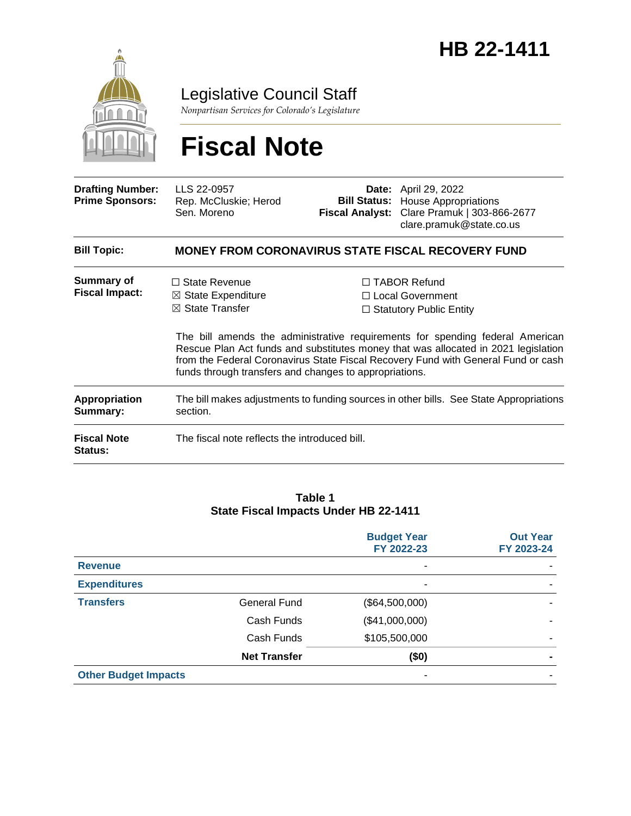

Legislative Council Staff

*Nonpartisan Services for Colorado's Legislature*

# **Fiscal Note**

| <b>Drafting Number:</b><br><b>Prime Sponsors:</b> | LLS 22-0957<br>Rep. McCluskie; Herod<br>Sen. Moreno                                                                                           | <b>Bill Status:</b><br><b>Fiscal Analyst:</b> | <b>Date:</b> April 29, 2022<br><b>House Appropriations</b><br>Clare Pramuk   303-866-2677<br>clare.pramuk@state.co.us                                                                                                                                                                                                                   |
|---------------------------------------------------|-----------------------------------------------------------------------------------------------------------------------------------------------|-----------------------------------------------|-----------------------------------------------------------------------------------------------------------------------------------------------------------------------------------------------------------------------------------------------------------------------------------------------------------------------------------------|
| <b>Bill Topic:</b>                                |                                                                                                                                               |                                               | <b>MONEY FROM CORONAVIRUS STATE FISCAL RECOVERY FUND</b>                                                                                                                                                                                                                                                                                |
| Summary of<br><b>Fiscal Impact:</b>               | $\Box$ State Revenue<br>$\boxtimes$ State Expenditure<br>$\boxtimes$ State Transfer<br>funds through transfers and changes to appropriations. |                                               | $\Box$ TABOR Refund<br>□ Local Government<br>$\Box$ Statutory Public Entity<br>The bill amends the administrative requirements for spending federal American<br>Rescue Plan Act funds and substitutes money that was allocated in 2021 legislation<br>from the Federal Coronavirus State Fiscal Recovery Fund with General Fund or cash |
| <b>Appropriation</b><br>Summary:                  | The bill makes adjustments to funding sources in other bills. See State Appropriations<br>section.                                            |                                               |                                                                                                                                                                                                                                                                                                                                         |
| <b>Fiscal Note</b><br>Status:                     | The fiscal note reflects the introduced bill.                                                                                                 |                                               |                                                                                                                                                                                                                                                                                                                                         |

#### **Table 1 State Fiscal Impacts Under HB 22-1411**

|                             |                     | <b>Budget Year</b><br>FY 2022-23 | <b>Out Year</b><br>FY 2023-24 |
|-----------------------------|---------------------|----------------------------------|-------------------------------|
| <b>Revenue</b>              |                     | ۰                                |                               |
| <b>Expenditures</b>         |                     | ۰                                |                               |
| <b>Transfers</b>            | General Fund        | (\$64,500,000)                   |                               |
|                             | Cash Funds          | (\$41,000,000)                   |                               |
|                             | Cash Funds          | \$105,500,000                    |                               |
|                             | <b>Net Transfer</b> | (\$0)                            |                               |
| <b>Other Budget Impacts</b> |                     | ۰                                |                               |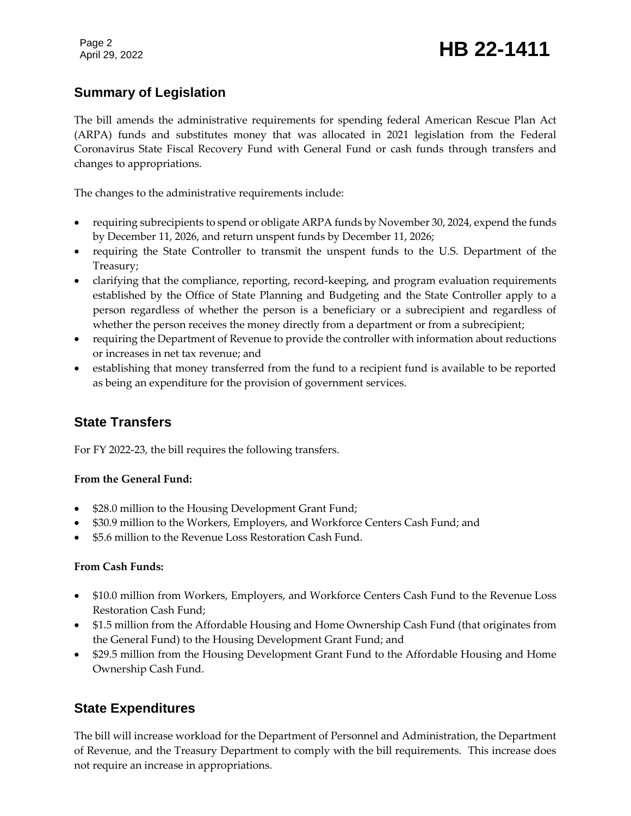Page 2

# Page 2<br>April 29, 2022 **HB 22-1411**

# **Summary of Legislation**

The bill amends the administrative requirements for spending federal American Rescue Plan Act (ARPA) funds and substitutes money that was allocated in 2021 legislation from the Federal Coronavirus State Fiscal Recovery Fund with General Fund or cash funds through transfers and changes to appropriations.

The changes to the administrative requirements include:

- requiring subrecipients to spend or obligate ARPA funds by November 30, 2024, expend the funds by December 11, 2026, and return unspent funds by December 11, 2026;
- requiring the State Controller to transmit the unspent funds to the U.S. Department of the Treasury;
- clarifying that the compliance, reporting, record-keeping, and program evaluation requirements established by the Office of State Planning and Budgeting and the State Controller apply to a person regardless of whether the person is a beneficiary or a subrecipient and regardless of whether the person receives the money directly from a department or from a subrecipient;
- requiring the Department of Revenue to provide the controller with information about reductions or increases in net tax revenue; and
- establishing that money transferred from the fund to a recipient fund is available to be reported as being an expenditure for the provision of government services.

# **State Transfers**

For FY 2022-23, the bill requires the following transfers.

#### **From the General Fund:**

- \$28.0 million to the Housing Development Grant Fund;
- \$30.9 million to the Workers, Employers, and Workforce Centers Cash Fund; and
- \$5.6 million to the Revenue Loss Restoration Cash Fund.

#### **From Cash Funds:**

- \$10.0 million from Workers, Employers, and Workforce Centers Cash Fund to the Revenue Loss Restoration Cash Fund;
- \$1.5 million from the Affordable Housing and Home Ownership Cash Fund (that originates from the General Fund) to the Housing Development Grant Fund; and
- \$29.5 million from the Housing Development Grant Fund to the Affordable Housing and Home Ownership Cash Fund.

# **State Expenditures**

The bill will increase workload for the Department of Personnel and Administration, the Department of Revenue, and the Treasury Department to comply with the bill requirements. This increase does not require an increase in appropriations.